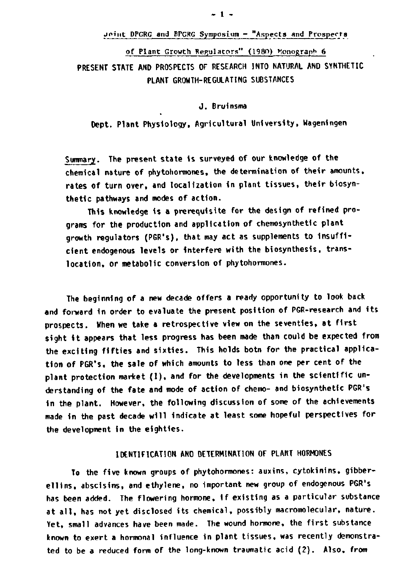### join t DPCRG and BPCRG Symposium - "Aspects and Prosperr8

of Plant Growth Regulators" (1980) Monograph 6 **PRESENT STATE AND PROSPECTS OF RESEARCH INTO NATURAL AND SYNTHETIC PLANT GROWTH-REGULATING SUBSTANCES** 

**J . Bruinsma** 

**Dept. Plant Physiology, Agricultural University, Wageningen** 

**Summary. The present state is surveyed of our knowledge of the chemical nature of phytohormones, the determination of their amounts, rates of turn over, and localization in plant tissues, their biosynthetic pathways and modes of action.** 

**This knowledge is a prerequisite for the design of refined programs for the production and application of chemosynthetic plant growth regulators (PGR's), that may act as supplements to insufficient endogenous levels or interfere with the biosynthesis, translocation, or metabolic conversion of phytohormones.** 

**The beginning of a new decade offers a ready opportunity to look back and forward in order to evaluate the present position of PGR-research and its prospects. When we take a retrospective view on the seventies, at first sight i t appears that less progress has been made than could be expected from**  the exciting fifties and sixties. This holds botn for the practical applica**tion of PGR's, the sale of which amounts to less than one per cent of the plant protection market (1), and for the developments in the scientific understanding of the fate and mode of action of chemo- and biosynthetic PGR's in the plant. However, the following discussion of some of the achievements made in the past decade will indicate at least some hopeful perspectives for the development in the eighties.** 

# **IDENTIFICATION AND DETERMINATION OF PLANT HORMONES**

**To the five known groups of phytohormones: auxins, cytokinins, gibberellins, abscisins, and ethylene, no important new group of endogenous PGR's has been added. The flowering hormone, i f existing as a particular substance at all , has not yet disclosed its chemical, possibly macromolecular, nature. Yet, small advances have been made. The wound hormone, the first substance known to exert a hormonal influence in plant tissues, was recently demonstrated to be a reduced form of the long-known traumatic acid (2). Also, from**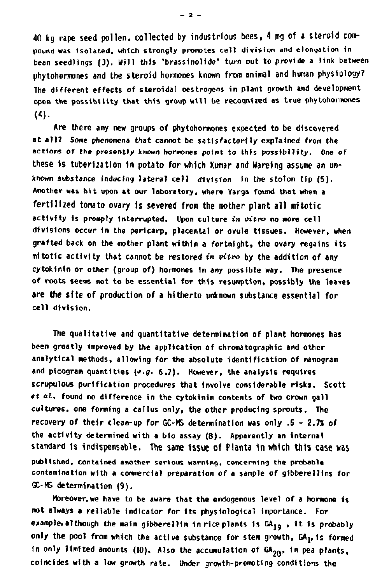**40 kg rape seed pollen, collected by industrious bees, 4 mg of a steroid compound was Isolated, which strongly promotes cell division and elongation in bean seedlings (3). Will this 'brassinolide' turn out to provide a link between phytohormones and the steroid hormones known from animal and human physiology? The different effects of steroidal oestrogens in plant growth and development open the possibility that this group will be recognized as true phytohormones (4).** 

**Are there any new groups of phytohormones expected to be discovered at all? Some phenomena that cannot be satisfactorily explained from the actions of the presently known hormones point to this possibility. One of**  these is tuberization in potato for which Kumar and Wareing assume an un**known substance inducing lateral cell division in the stolon tip (5). Another was hit upon at our laboratory, where Varga found that when a fertilized tomato ovary is severed from the mother plant all mitotic activity is prompt y interrupted. Upon culture in vitro no more cell divisions occur in the pericarp, placental or ovule tissues. However, when grafted back on the mother plant within a fortnight, the ovary regains its mitotic activity that cannot be restored in vitro by the addition of any cytokinin or other (group of) hormones In any possible way. The presence of roots seems not to be essential for this resumption, possibly the leaves are the site of production of a hitherto unknown substance essential for cell division.** 

**The qualitative and quantitative determination of plant hormones has been greatly Improved by the application of chromatographic and other analytical methods, allowing for the absolute identification of nanogram**  and picogram quantities (e.g. 6.7). However, the analysis requires **scrupulous purification procedures that involve considerable risks. Scott et al. found no difference 1n the cytokinin contents of two crown gall cultures, one forming a callus only, the other producing sprouts. The recovery of their clean-up for GC-MS determination was only .6 - 2.7% of the activity determined with a bio assay (8). Apparently an internal standard is indispensable. The same issue of Planta 1n which this case was published, contained another serious warning, concerning the probable contamination with a commercial preparation of a sample of gibberellins for GC-MS determination (9).** 

**Moreover,we have to be aware that the endogenous level of a hormone Is not always a reliable indicator for Its physiological Importance. For example, although the main gibberellin in rice plants Is GAjg , i t Is probably only the pool from which the active substance for stem growth, GAj, is formed**  in only limited amounts (10). Also the accumulation of GA<sub>20</sub>, in pea plants, **coincides with a low growth rate. Under growth-promoting conditions the** 

 $-2 -$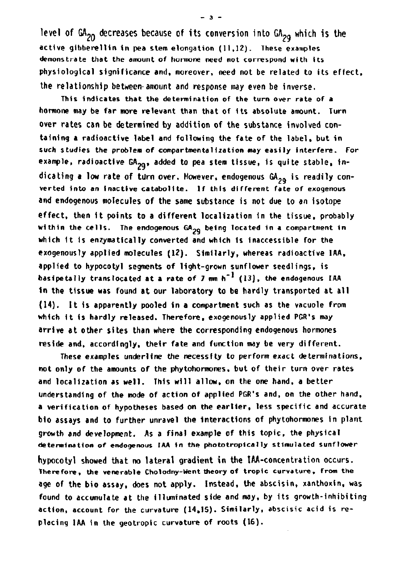**level of GA20 decreases because of its conversion into GA2g which is the active gibberellin in pea stem elongation (11,12). These examples demonstrate that the amount of hormone need not correspond with its physiological significance and, moreover, need not be related to its effect, the relationship between'amount and response may even be inverse.** 

**This Indicates that the determination of the turn over rate of a hormone may be far more relevant than that of Its absolute amount. Turn over rates can be determined by addition of the substance involved containing a radioactive label and following the fate of the label, but in**  such studies the problem of compartmentalization may easily interfere. For example, radioactive GA<sub>20</sub>, added to pea stem tissue, is quite stable, indicating a low rate of turn over. However, endogenous GA<sub>20</sub> is readily con**verted into an inactive catabolite. If this different fate of exogenous and endogenous molecules of the same substance is not due to an isotope effect, then i t points to a different localization in the tissue, probably within the cells. The endogenous GA?" being located in a compartment in which i t is enzyraatically converted and which is inaccessible for the exogenously applied molecules (12). Similarly, whereas radioactive IAA, applied to hypocotyl segments of light-grown sunflower seedlings, is**  basipetally translocated at a rate of 7 mm h<sup>-1</sup> (13), the endogenous IAA **1n the tissue was found at our laboratory to be hardly transported at all (14). I t Is apparently pooled in a compartment such as the vacuole from which i t Is hardly released. Therefore, exogenously applied PGR's may arrive at other sites than where the corresponding endogenous hormones reside and, accordingly, their fate and function may be very different.** 

**These examples underline the necessity to perform exact determinations, not only of the amounts of the phytohormones, but of their turn over rates and localization as well. This will allow, on the one hand, a better understanding of the mode of action of applied PGR's and, on the other hand, a verification of hypotheses based on the earlier, less specific and accurate bio assays and to further unravel the interactions of phytohormones in plant growth and development. As a final example of this topic, the physical determination of endogenous IAA In the phototropical 1y stimulated sunflower hypocotyl showed that no lateral gradient in the IAA-concentration occurs. Therefore, the venerable Cholodny-Went theory of tropic curvature, from the age of the bio assay, does not apply. Instead, the abscisin, xanthoxin, was found to accumulate at the illuminated side and may, by its growth-inhibiting action, account for the curvature (14,15). Similarly, abscisic acid is re-**

**placing IAA in the geotropic curvature of roots (16).** 

 $-2 -$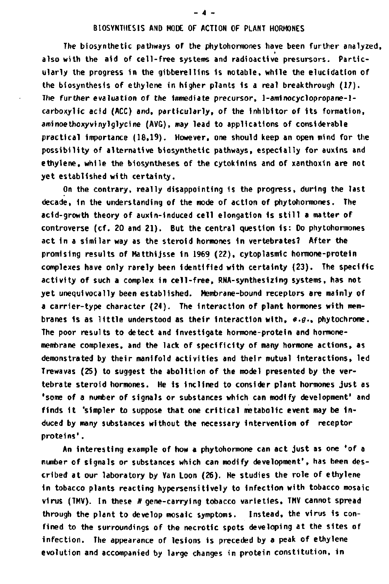### **BIOSYNTHESIS AND MODE OF ACTION OF PLANT HORMONES**

**The biosynthetic pathways of the phytohorniones have been further analyzed, also with the aid of cell-free systems and radioactive presursors. Particularly the progress in the gibberelllns Is notable, while the elucidation of the biosynthesis of ethylene in higher plants is a real breakthrough (17). The further evaluation of the immediate precursor, 1-aminocyclopropane-lcarboxylic acid (ACC) and, particularly, of the inhibitor of its formation, aminoethoxyvinylglycine (AVG), may lead to applications of considerable practical importance (18,19). However, one should keep an open mind for the possibility of alternative biosynthetic pathways, especially for auxins and ethylene, while the biosyntheses of the cytokinins and of xanthoxin are not yet established with certainty.** 

**On the contrary, really disappointing is the progress, during the last decade, in the understanding of the mode of action of phytohormones. The acid-growth theory of auxin-induced cell elongation is stil l a matter of controverse (cf. 20 and 21). But the central question is : Do phytohorniones act in a similar way as the steroid hormones in vertebrates? After the promising results of Matthijsse 1n 1969 (22), cytoplasmic hormone-protein complexes have only rarely been identified with certainty (23). The specific activity of such a complex in cell-free, RNA-synthesizing systems, has not yet unequivocally been established. Membrane-bound receptors are mainly of a carrier-type character (24). The interaction of plant hormones with membranes is as little understood as their interaction with,**  $e.g.,$  **phytochrome. The poor results to detect and Investigate hormone-protein and hormonemembrane complexes, and the lack of specificity of many hormone actions, as demonstrated by their manifold activities and their mutual Interactions, led Trewavas (25) to suggest the abolition of the model presented by the vertebrate steroid hormones. He is Inclined to consider plant hormones just as 'some of a number of signals or substances which can modify development' and**  finds it 'simpler to suppose that one critical metabolic event may be in**duced by many substances without the necessary intervention of receptor proteins'.** 

**An interesting example of how a phytohormone can act just as one 'of a number of signals or substances which can modify development', has been described at our laboratory by Van Loon (26). He studies the role of ethylene in tobacco plants reacting hypersensitively to infection with tobacco mosaic virus (TMV). In these /»gene-carrying tobacco varieties, TMV cannot spread through the plant to develop mosaic symptoms. Instead, the virus is confined to the surroundings of the necrotic spots developing at the sites of Infection. The appearance of lesions is preceded by a peak of ethylene evolution and accompanied by large changes in protein constitution, in** 

#### **- 4 -**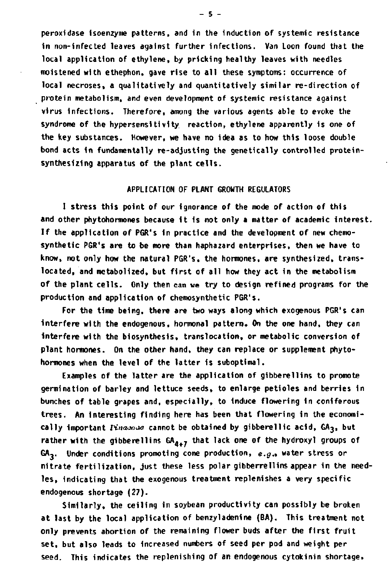**peroxidase isoenzyme patterns, and in the induction of systemic resistance in non-infected leaves against further infections. Van Loon found that the local application of ethylene, by pricking healthy leaves with needles moistened with ethephon, gave rise to all these symptoms: occurrence of local necroses, a qualitatively and quantitatively similar re-direction of protein metabolism, and even development of systemic resistance against virus Infections. Therefore, among the various agents able to evoke the syndrome of the hypersensitivity reaction, ethylene apparently 1s one of the key substances. However, we have no idea as to how this loose double bond acts in fundamentally re-adjusting the genetically controlled proteinsynthesizing apparatus of the plant cells.** 

## **APPLICATION OF PLANT GROWTH REGULATORS**

**I stress this point of our ignorance of the mode of action of this and other phytohormones because I t Is not only a matter of academic Interest. I f the application of PGR's in practice and the development of new chemo**synthetic PGR's are to be more than haphazard enterprises, then we have to **know, not only how the natural PGR's, the hormones, are synthesized, translocated, and metabolized, but first of all how they act in the metabolism of the plant cells. Only then can we try to design refined programs for the production and application of chemosynthetic PGR's.** 

**For the time being, there are two ways along which exogenous PGR's can Interfere with the endogenous, hormonal pattern. On the one hand, they can Interfere with the biosynthesis, translocation, or metabolic conversion of plant hormones. On the other hand, they can replace or supplement phytohormones when the level of the latter is suboptimal.** 

**Examples of the latter are the application of gibberellins to promote germination of barley and lettuce seeds, to enlarge petioles and berries in bunches of table grapes and, especially, to Induce flowering In coniferous trees. An Interesting finding here has been that flowering in the economi**cally important *Pinaxede* cannot be obtained by gibberellic acid, GA<sub>3</sub>, but **rather with the gibberellins GA^+7 that lack one of the hydroxyl groups of GA,. Under conditions promoting cone production, e.g., water stress or nitrate fertilization, just these less polar gibberrellins appear in the needles, indicating that the exogenous treatment replenishes a very specific endogenous shortage (27).** 

**Similarly, the ceiling in soybean productivity can possibly be broken at last by the local application of benzyladenine (BA). This treatment not only prevents abortion of the remaining flower buds after the first fruit set, but also leads to increased numbers of seed per pod and weight per seed. This indicates the replenishing of an endogenous cytokinin shortage.** 

**- 5 -**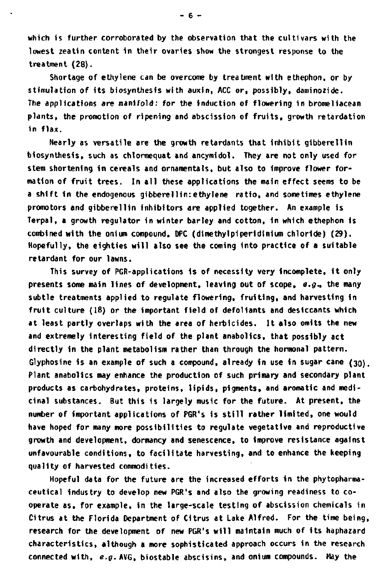**which is further corroborated by the observation that the cultivars with the lowest zeatin content in their ovaries show the strongest response to the treatment (28).** 

**Shortage of ethylene can be overcome by treatment with ethephon, or by stimulation of its biosynthesis with auxin, ACC or, possibly, daminozide. The applications are manifold: for the Induction of flowering In bromeliacean plants, the promotion of ripening and abscission of fruits, growth retardation in flax.** 

**Nearly as versatile are the growth retardants that Inhibit glbberellin biosynthesis, such as chlormequat and ancymldol. They are not only used for stem shortening in cereals and ornamentals, but also to Improve flower formation of fruit trees. In all these applications the main effect seems to be a shift In the endogenous glbberellin:ethylene ratio, and sometimes ethylene promotors and gibberellin Inhibitors are applied together. An example is Terpal, a growth regulator in winter barley and cotton, In which ethephon is combined with the onium compound, DPC (dimethylpiperidinium chloride) (29). Hopefully, the eighties will also see the coming Into practice of a suitable retardant for our lawns.** 

**This survey of PGR-applications Is of necessity very Incomplete, I t only presents some main lines of development, leaving out of scope, e-g-, the many subtle treatments applied to regulate flowering, fruiting, and harvesting in fruit culture (18) or the important field of defoliants and deslccants which at least partly overlaps with the area of herbicides. I t also omits the new and extremely Interesting field of the plant anabolics, that possibly act directly in the plant metabolism rather than through the hormonal pattern. Glyphosine is an example of such a compound, already In use In sugar cane (30). Plant anabolics may enhance the production of such primary and secondary plant products as carbohydrates, proteins, lipids, pigments, and aromatic and medicinal substances. But this 1s largely music for the future. At present, the number of important applications of PGR's Is stil l rather limited, one would have hoped for many more possibilities to regulate vegetative and reproductive growth and development, dormancy and senescence, to Improve resistance against unfavourable conditions, to facilitate harvesting, and to enhance the keeping quality of harvested commodities.** 

**Hopeful data for the future are the increased efforts in the phytopharmaceutical Industry to develop new PGR's and also the growing readiness to cooperate as, for example, in the large-scale testing of abscission chemicals in Citrus at the Florida Department of Citrus at Lake Alfred. For the time being, research for the development of new PGR's will maintain much of its haphazard characteristics, although a more sophisticated approach occurs in the research connected with, e.g. AVG, biostable abscisins, and onium compounds. May the** 

**- 6 -**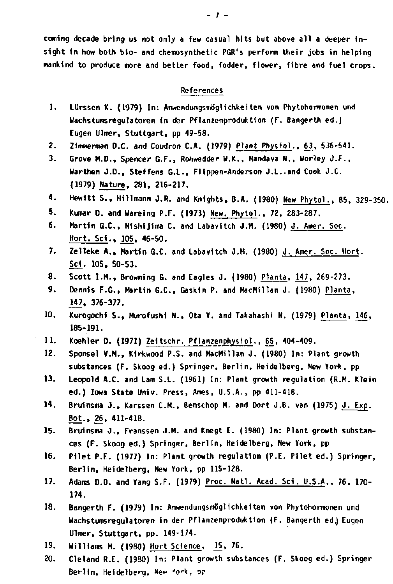**coming decade bring us not only a few casual hits but above all a deeper insight in how both bio- and chemosynthetic PGR's perform their jobs in helping mankind to produce more and better food, fodder, flower, fibre and fuel crops.** 

### **References**

- **1. LUrssen K. (1979) In: Anwendungsmöglichkeiten von Phytohormonen und Wachstunisregulatoren in der Pflanzenproduktion (F. Bangerth ed.) Eugen Ulmer, Stuttgart, pp 49-58.**
- **2. Zimmerman D.C. and Coudron CA. (1979) Plant Physiol., 63, 536-541.**
- **3. Grove M.D., Spencer G.F., Rohwedder W.K., Mandava N., Worley J.F., Warthen J.D., Steffens G.L., Flippen-Anderson J.L..and Cook J.C. (1979) Nature, 281, 216-217.**
- **4. Hewitt S., Hillmann J.R. and Knights, B.A. (1980) New Phytol.. 85, 329-350.**
- **5. Kumar 0. and Wareing P.F. (1973) New. Phytol.. 72, 283-287.**
- **6. Martin G.C., Nishijima C. and Labavitch Ü.M. (1980) J . Amer. Soc. Hort. Sei., 105, 46-50.**
- **7. Zelleke A., Martin G.C. and Labavitch J.M. (1980) J. Amer. Soc. Hort. Sei. 105, 50-53.**
- **8. Scott I.M., Browning G. and Eagles J. (1980) Planta, 147, 269-273.**
- **9. Dennis F.G., Martin G.C, Gaskin P. and MacMillan J. (1980) Planta, 147. 376-377.**
- **10. Kurogochi S., Murofushi N., Ota Y. and Takahashi N. (1979) Planta, 146, 185-191.**
- 11. Koehler D. (1971) Zeitschr. Pflanzenphysiol., 65, 404-409.
- **12. Sponsel V.M., Kirkwood P.S. and MacMillan J . (1980) In: Plant growth substances (F. Skoog ed.) Springer, Berlin, Heidelberg, New York, pp**
- **13. Leopold A.C. and Lam S.L. (1961) In: Plant growth regulation (R.M. Klein ed.) Iowa State Univ. Press, Ames, U.S.A., pp 411-418.**
- **14. Bruinsma J. , Karssen CM. , Benschop M. and Dort J.B. van (1975) J . Exp. Bot., 26, 411-418.**
- **15. Bruinsma J. , Franssen J.M. and Knegt E. (1980) In: Plant growth substances (F. Skoog ed.) Springer, Berlin, Heidelberg, New York, pp**
- **16. Pilet P.E. (1977) In: Plant growth regulation (P.E. Pilet ed.) Springer, Berlin, Heidelberg, New York, pp 115-128.**
- **17. Adams D.O. and Yang S.F. (1979) Proc. Natl. Acad. Sei. U.S.A., 76, 170- 174.**
- **18. Bangerth F. (1979) In: Anwendungsmöglichkeiten von Phytohormonen und Wachstumsregulatoren in der Pflanzenproduktion (F. Bangerth ed.) Eugen Ulmer, Stuttgart, pp. 149-174.**
- **19. Williams M. (1980) Hort Science, \_15, 76.**
- **20. Cleland R.E. (1980) In: Plant growth substances (F. Skoog ed.) Springer Berlin, Heidelberg, New 'c\*k, or**